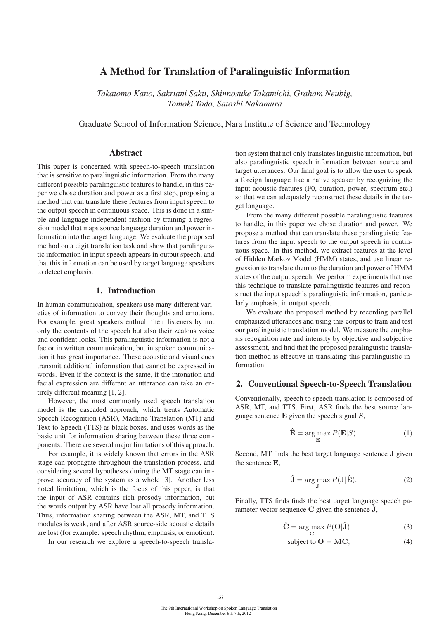# A Method for Translation of Paralinguistic Information

*Takatomo Kano, Sakriani Sakti, Shinnosuke Takamichi, Graham Neubig, Tomoki Toda, Satoshi Nakamura*

Graduate School of Information Science, Nara Institute of Science and Technology

### Abstract

This paper is concerned with speech-to-speech translation that is sensitive to paralinguistic information. From the many different possible paralinguistic features to handle, in this paper we chose duration and power as a first step, proposing a method that can translate these features from input speech to the output speech in continuous space. This is done in a simple and language-independent fashion by training a regression model that maps source language duration and power information into the target language. We evaluate the proposed method on a digit translation task and show that paralinguistic information in input speech appears in output speech, and that this information can be used by target language speakers to detect emphasis.

## 1. Introduction

In human communication, speakers use many different varieties of information to convey their thoughts and emotions. For example, great speakers enthrall their listeners by not only the contents of the speech but also their zealous voice and confident looks. This paralinguistic information is not a factor in written communication, but in spoken communication it has great importance. These acoustic and visual cues transmit additional information that cannot be expressed in words. Even if the context is the same, if the intonation and facial expression are different an utterance can take an entirely different meaning [1, 2].

However, the most commonly used speech translation model is the cascaded approach, which treats Automatic Speech Recognition (ASR), Machine Translation (MT) and Text-to-Speech (TTS) as black boxes, and uses words as the basic unit for information sharing between these three components. There are several major limitations of this approach.

For example, it is widely known that errors in the ASR stage can propagate throughout the translation process, and considering several hypotheses during the MT stage can improve accuracy of the system as a whole [3]. Another less noted limitation, which is the focus of this paper, is that the input of ASR contains rich prosody information, but the words output by ASR have lost all prosody information. Thus, information sharing between the ASR, MT, and TTS modules is weak, and after ASR source-side acoustic details are lost (for example: speech rhythm, emphasis, or emotion).

In our research we explore a speech-to-speech transla-

tion system that not only translates linguistic information, but also paralinguistic speech information between source and target utterances. Our final goal is to allow the user to speak a foreign language like a native speaker by recognizing the input acoustic features (F0, duration, power, spectrum etc.) so that we can adequately reconstruct these details in the target language.

From the many different possible paralinguistic features to handle, in this paper we chose duration and power. We propose a method that can translate these paralinguistic features from the input speech to the output speech in continuous space. In this method, we extract features at the level of Hidden Markov Model (HMM) states, and use linear regression to translate them to the duration and power of HMM states of the output speech. We perform experiments that use this technique to translate paralinguistic features and reconstruct the input speech's paralinguistic information, particularly emphasis, in output speech.

We evaluate the proposed method by recording parallel emphasized utterances and using this corpus to train and test our paralinguistic translation model. We measure the emphasis recognition rate and intensity by objective and subjective assessment, and find that the proposed paralinguistic translation method is effective in translating this paralinguistic information.

## 2. Conventional Speech-to-Speech Translation

Conventionally, speech to speech translation is composed of ASR, MT, and TTS. First, ASR finds the best source language sentence **E** given the speech signal S,

$$
\hat{\mathbf{E}} = \underset{\mathbf{E}}{\arg \max} P(\mathbf{E}|S). \tag{1}
$$

Second, MT finds the best target language sentence **J** given the sentence **E**,

$$
\hat{\mathbf{J}} = \underset{\mathbf{J}}{\text{arg max}} P(\mathbf{J}|\hat{\mathbf{E}}). \tag{2}
$$

Finally, TTS finds finds the best target language speech parameter vector sequence  $C$  given the sentence  $\hat{J}$ ,

$$
\hat{\mathbf{C}} = \underset{\mathbf{C}}{\arg \max} P(\mathbf{O}|\hat{\mathbf{J}})
$$
 (3)

subject to 
$$
\mathbf{O} = \mathbf{MC},
$$
 (4)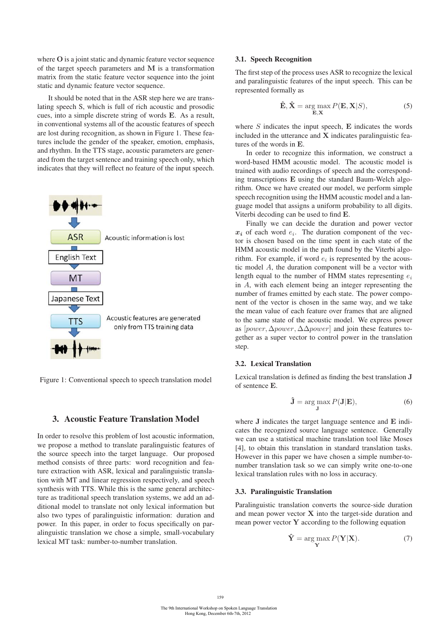where **O** is a joint static and dynamic feature vector sequence of the target speech parameters and **M** is a transformation matrix from the static feature vector sequence into the joint static and dynamic feature vector sequence.

It should be noted that in the ASR step here we are translating speech S, which is full of rich acoustic and prosodic cues, into a simple discrete string of words **E**. As a result, in conventional systems all of the acoustic features of speech are lost during recognition, as shown in Figure 1. These features include the gender of the speaker, emotion, emphasis, and rhythm. In the TTS stage, acoustic parameters are generated from the target sentence and training speech only, which indicates that they will reflect no feature of the input speech.



Figure 1: Conventional speech to speech translation model

# 3. Acoustic Feature Translation Model

In order to resolve this problem of lost acoustic information, we propose a method to translate paralinguistic features of the source speech into the target language. Our proposed method consists of three parts: word recognition and feature extraction with ASR, lexical and paralinguistic translation with MT and linear regression respectively, and speech synthesis with TTS. While this is the same general architecture as traditional speech translation systems, we add an additional model to translate not only lexical information but also two types of paralinguistic information: duration and power. In this paper, in order to focus specifically on paralinguistic translation we chose a simple, small-vocabulary lexical MT task: number-to-number translation.

#### 3.1. Speech Recognition

The first step of the process uses ASR to recognize the lexical and paralinguistic features of the input speech. This can be represented formally as

$$
\hat{\mathbf{E}}, \hat{\mathbf{X}} = \underset{\mathbf{E}, \mathbf{X}}{\arg \max} P(\mathbf{E}, \mathbf{X}|S),
$$
 (5)

where S indicates the input speech, **E** indicates the words included in the utterance and **X** indicates paralinguistic features of the words in **E**.

In order to recognize this information, we construct a word-based HMM acoustic model. The acoustic model is trained with audio recordings of speech and the corresponding transcriptions **E** using the standard Baum-Welch algorithm. Once we have created our model, we perform simple speech recognition using the HMM acoustic model and a language model that assigns a uniform probability to all digits. Viterbi decoding can be used to find **E**.

Finally we can decide the duration and power vector  $x_i$  of each word  $e_i$ . The duration component of the vector is chosen based on the time spent in each state of the HMM acoustic model in the path found by the Viterbi algorithm. For example, if word  $e_i$  is represented by the acoustic model A, the duration component will be a vector with length equal to the number of HMM states representing  $e_i$ in A, with each element being an integer representing the number of frames emitted by each state. The power component of the vector is chosen in the same way, and we take the mean value of each feature over frames that are aligned to the same state of the acoustic model. We express power as [power,  $\Delta$ power,  $\Delta$  $\Delta$ power] and join these features together as a super vector to control power in the translation step.

# 3.2. Lexical Translation

Lexical translation is defined as finding the best translation **J** of sentence **E**.

$$
\hat{\mathbf{J}} = \underset{\mathbf{J}}{\arg \max} P(\mathbf{J}|\mathbf{E}),\tag{6}
$$

where **J** indicates the target language sentence and **E** indicates the recognized source language sentence. Generally we can use a statistical machine translation tool like Moses [4], to obtain this translation in standard translation tasks. However in this paper we have chosen a simple number-tonumber translation task so we can simply write one-to-one lexical translation rules with no loss in accuracy.

### 3.3. Paralinguistic Translation

Paralinguistic translation converts the source-side duration and mean power vector **X** into the target-side duration and mean power vector **Y** according to the following equation

$$
\hat{\mathbf{Y}} = \underset{\mathbf{Y}}{\arg \max} P(\mathbf{Y}|\mathbf{X}).\tag{7}
$$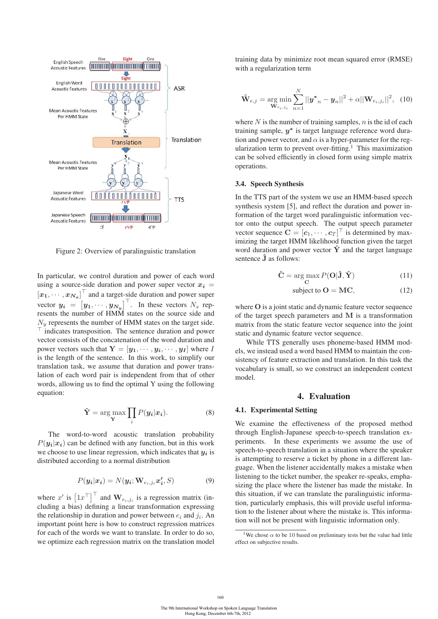

Figure 2: Overview of paralinguistic translation

In particular, we control duration and power of each word using a source-side duration and power super vector  $x_i$  =  $[x_1, \cdots, x_{N_x}]^{\top}$  and a target-side duration and power super vector  $y_i = [y_1, \dots, y_{N_y}]$ . In these vectors  $N_x$  rep-<br>recents the number of HMM states on the source side and resents the number of HMM states on the source side and  $N_{\nu}$  represents the number of HMM states on the target side. - indicates transposition. The sentence duration and power vector consists of the concatenation of the word duration and power vectors such that  $\mathbf{Y} = [\mathbf{y}_1, \cdots, \mathbf{y}_i, \cdots, \mathbf{y}_I]$  where I is the length of the sentence. In this work, to simplify our translation task, we assume that duration and power translation of each word pair is independent from that of other words, allowing us to find the optimal Y using the following equation:

$$
\hat{\mathbf{Y}} = \arg\max_{\mathbf{Y}} \prod_{i} P(\mathbf{y}_i | \mathbf{x}_i). \tag{8}
$$

The word-to-word acoustic translation probability  $P(y_i|x_i)$  can be defined with any function, but in this work we choose to use linear regression, which indicates that *y<sup>i</sup>* is distributed according to a normal distribution

$$
P(\mathbf{y_i}|\mathbf{x_i}) = N(\mathbf{y_i}; \mathbf{W}_{e_i,j_i}\mathbf{x_i'}, S)
$$
\n(9)

where x' is  $\left[1x^{\top}\right]$  and  $\mathbf{W}_{e_i,j_i}$  is a regression matrix (in-<br>cluding a hias) defining a linear transformation expressing cluding a bias) defining a linear transformation expressing the relationship in duration and power between  $e_i$  and  $j_i$ . An important point here is how to construct regression matrices for each of the words we want to translate. In order to do so, we optimize each regression matrix on the translation model training data by minimize root mean squared error (RMSE) with a regularization term

$$
\hat{\mathbf{W}}_{e,j} = \underset{\mathbf{W}_{e_i,j_i}}{\arg \min} \sum_{n=1}^{N} ||\mathbf{y}^*_{n} - \mathbf{y}_n||^2 + \alpha ||\mathbf{W}_{e_i,j_i}||^2, \tag{10}
$$

where  $N$  is the number of training samples,  $n$  is the id of each training sample, *y<sup>∗</sup>* is target language reference word duration and power vector, and  $\alpha$  is a hyper-parameter for the regularization term to prevent over-fitting.<sup>1</sup> This maximization can be solved efficiently in closed form using simple matrix operations.

### 3.4. Speech Synthesis

In the TTS part of the system we use an HMM-based speech synthesis system [5], and reflect the duration and power information of the target word paralinguistic information vector onto the output speech. The output speech parameter vector sequence  $\mathbf{C} = [\mathbf{c}_1, \cdots, \mathbf{c}_T]^{\top}$  is determined by max-<br>imizing the target HMM likelihood function given the target imizing the target HMM likelihood function given the target word duration and power vector  $\hat{Y}$  and the target language sentence  $\hat{\mathbf{J}}$  as follows:

$$
\hat{\mathbf{C}} = \underset{\mathbf{C}}{\arg \max} P(\mathbf{O}|\hat{\mathbf{J}}, \hat{\mathbf{Y}})
$$
 (11)

$$
subject to O = MC,
$$
\n(12)

where **O** is a joint static and dynamic feature vector sequence of the target speech parameters and **M** is a transformation matrix from the static feature vector sequence into the joint static and dynamic feature vector sequence.

While TTS generally uses phoneme-based HMM models, we instead used a word based HMM to maintain the consistency of feature extraction and translation. In this task the vocabulary is small, so we construct an independent context model.

#### 4. Evaluation

### 4.1. Experimental Setting

We examine the effectiveness of the proposed method through English-Japanese speech-to-speech translation experiments. In these experiments we assume the use of speech-to-speech translation in a situation where the speaker is attempting to reserve a ticket by phone in a different language. When the listener accidentally makes a mistake when listening to the ticket number, the speaker re-speaks, emphasizing the place where the listener has made the mistake. In this situation, if we can translate the paralinguistic information, particularly emphasis, this will provide useful information to the listener about where the mistake is. This information will not be present with linguistic information only.

160

<sup>&</sup>lt;sup>1</sup>We chose  $\alpha$  to be 10 based on preliminary tests but the value had little effect on subjective results.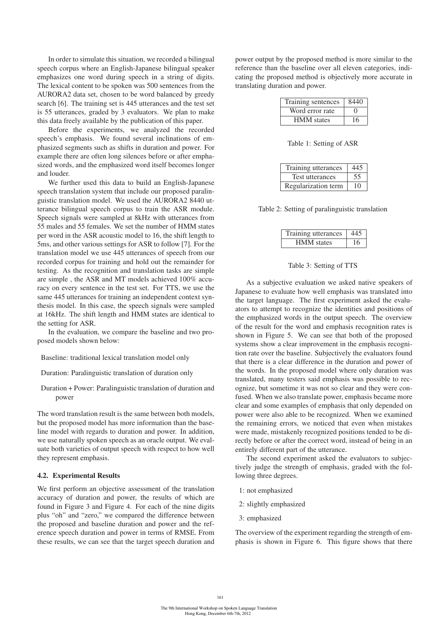In order to simulate this situation, we recorded a bilingual speech corpus where an English-Japanese bilingual speaker emphasizes one word during speech in a string of digits. The lexical content to be spoken was 500 sentences from the AURORA2 data set, chosen to be word balanced by greedy search [6]. The training set is 445 utterances and the test set is 55 utterances, graded by 3 evaluators. We plan to make this data freely available by the publication of this paper.

Before the experiments, we analyzed the recorded speech's emphasis. We found several inclinations of emphasized segments such as shifts in duration and power. For example there are often long silences before or after emphasized words, and the emphasized word itself becomes longer and louder.

We further used this data to build an English-Japanese speech translation system that include our proposed paralinguistic translation model. We used the AURORA2 8440 utterance bilingual speech corpus to train the ASR module. Speech signals were sampled at 8kHz with utterances from 55 males and 55 females. We set the number of HMM states per word in the ASR acoustic model to 16, the shift length to 5ms, and other various settings for ASR to follow [7]. For the translation model we use 445 utterances of speech from our recorded corpus for training and hold out the remainder for testing. As the recognition and translation tasks are simple are simple , the ASR and MT models achieved 100% accuracy on every sentence in the test set. For TTS, we use the same 445 utterances for training an independent context synthesis model. In this case, the speech signals were sampled at 16kHz. The shift length and HMM states are identical to the setting for ASR.

In the evaluation, we compare the baseline and two proposed models shown below:

Baseline: traditional lexical translation model only

Duration: Paralinguistic translation of duration only

Duration + Power: Paralinguistic translation of duration and power

The word translation result is the same between both models, but the proposed model has more information than the baseline model with regards to duration and power. In addition, we use naturally spoken speech as an oracle output. We evaluate both varieties of output speech with respect to how well they represent emphasis.

### 4.2. Experimental Results

We first perform an objective assessment of the translation accuracy of duration and power, the results of which are found in Figure 3 and Figure 4. For each of the nine digits plus "oh" and "zero," we compared the difference between the proposed and baseline duration and power and the reference speech duration and power in terms of RMSE. From these results, we can see that the target speech duration and power output by the proposed method is more similar to the reference than the baseline over all eleven categories, indicating the proposed method is objectively more accurate in translating duration and power.

| Training sentences | 8440              |
|--------------------|-------------------|
| Word error rate    | $\mathbf{\Omega}$ |
| <b>HMM</b> states  | 16                |

Table 1: Setting of ASR

| Training utterances | 445 |
|---------------------|-----|
| Test utterances     | 55  |
| Regularization term | 10  |

Table 2: Setting of paralinguistic translation

| Training utterances | 445 |
|---------------------|-----|
| <b>HMM</b> states   | 16  |

#### Table 3: Setting of TTS

As a subjective evaluation we asked native speakers of Japanese to evaluate how well emphasis was translated into the target language. The first experiment asked the evaluators to attempt to recognize the identities and positions of the emphasized words in the output speech. The overview of the result for the word and emphasis recognition rates is shown in Figure 5. We can see that both of the proposed systems show a clear improvement in the emphasis recognition rate over the baseline. Subjectively the evaluators found that there is a clear difference in the duration and power of the words. In the proposed model where only duration was translated, many testers said emphasis was possible to recognize, but sometime it was not so clear and they were confused. When we also translate power, emphasis became more clear and some examples of emphasis that only depended on power were also able to be recognized. When we examined the remaining errors, we noticed that even when mistakes were made, mistakenly recognized positions tended to be directly before or after the correct word, instead of being in an entirely different part of the utterance.

The second experiment asked the evaluators to subjectively judge the strength of emphasis, graded with the following three degrees.

- 1: not emphasized
- 2: slightly emphasized
- 3: emphasized

The overview of the experiment regarding the strength of emphasis is shown in Figure 6. This figure shows that there

161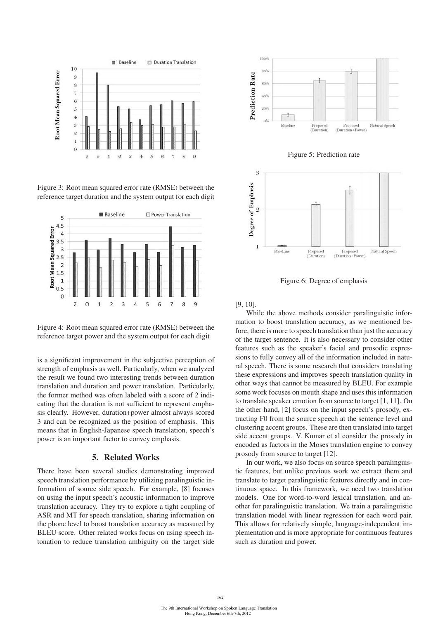

Figure 3: Root mean squared error rate (RMSE) between the reference target duration and the system output for each digit



Figure 4: Root mean squared error rate (RMSE) between the reference target power and the system output for each digit

is a significant improvement in the subjective perception of strength of emphasis as well. Particularly, when we analyzed the result we found two interesting trends between duration translation and duration and power translation. Particularly, the former method was often labeled with a score of 2 indicating that the duration is not sufficient to represent emphasis clearly. However, duration+power almost always scored 3 and can be recognized as the position of emphasis. This means that in English-Japanese speech translation, speech's power is an important factor to convey emphasis.

## 5. Related Works

There have been several studies demonstrating improved speech translation performance by utilizing paralinguistic information of source side speech. For example, [8] focuses on using the input speech's acoustic information to improve translation accuracy. They try to explore a tight coupling of ASR and MT for speech translation, sharing information on the phone level to boost translation accuracy as measured by BLEU score. Other related works focus on using speech intonation to reduce translation ambiguity on the target side



Figure 5: Prediction rate



Figure 6: Degree of emphasis

[9, 10].

While the above methods consider paralinguistic information to boost translation accuracy, as we mentioned before, there is more to speech translation than just the accuracy of the target sentence. It is also necessary to consider other features such as the speaker's facial and prosodic expressions to fully convey all of the information included in natural speech. There is some research that considers translating these expressions and improves speech translation quality in other ways that cannot be measured by BLEU. For example some work focuses on mouth shape and uses this information to translate speaker emotion from source to target [1, 11]. On the other hand, [2] focus on the input speech's prosody, extracting F0 from the source speech at the sentence level and clustering accent groups. These are then translated into target side accent groups. V. Kumar et al consider the prosody in encoded as factors in the Moses translation engine to convey prosody from source to target [12].

In our work, we also focus on source speech paralinguistic features, but unlike previous work we extract them and translate to target paralinguistic features directly and in continuous space. In this framework, we need two translation models. One for word-to-word lexical translation, and another for paralinguistic translation. We train a paralinguistic translation model with linear regression for each word pair. This allows for relatively simple, language-independent implementation and is more appropriate for continuous features such as duration and power.